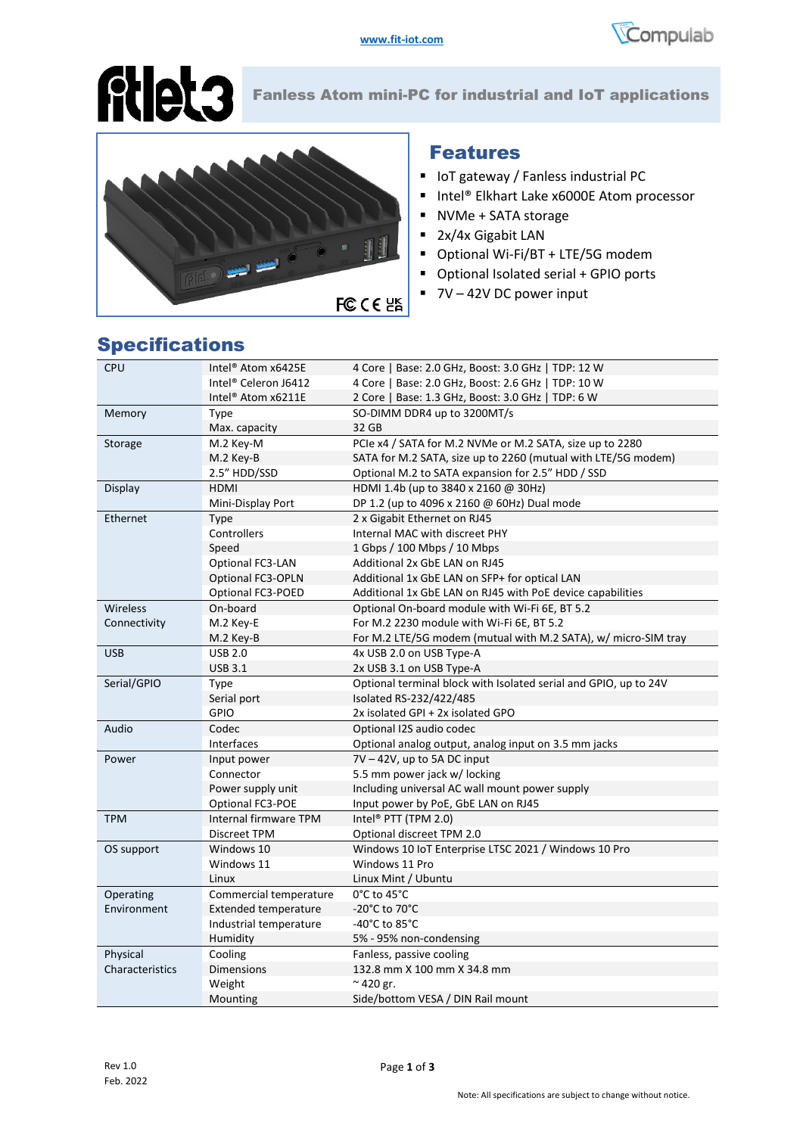



Fanless Atom mini-PC for industrial and IoT applications

#### Features

- IoT gateway / Fanless industrial PC
- Intel® Elkhart Lake x6000E Atom processor
- NVMe + SATA storage
- 2x/4x Gigabit LAN
- Optional Wi-Fi/BT + LTE/5G modem
- Optional Isolated serial + GPIO ports
- 7V 42V DC power input

| ø               |
|-----------------|
| <b>FC CE 2K</b> |

| <b>CPU</b>      | Intel <sup>®</sup> Atom x6425E   | 4 Core   Base: 2.0 GHz, Boost: 3.0 GHz   TDP: 12 W               |  |
|-----------------|----------------------------------|------------------------------------------------------------------|--|
|                 | Intel <sup>®</sup> Celeron J6412 | 4 Core   Base: 2.0 GHz, Boost: 2.6 GHz   TDP: 10 W               |  |
|                 | Intel <sup>®</sup> Atom x6211E   | 2 Core   Base: 1.3 GHz, Boost: 3.0 GHz   TDP: 6 W                |  |
| Memory          | Type                             | SO-DIMM DDR4 up to 3200MT/s                                      |  |
|                 | Max. capacity                    | 32 GB                                                            |  |
| Storage         | M.2 Key-M                        | PCIe x4 / SATA for M.2 NVMe or M.2 SATA, size up to 2280         |  |
|                 | M.2 Key-B                        | SATA for M.2 SATA, size up to 2260 (mutual with LTE/5G modem)    |  |
|                 | 2.5" HDD/SSD                     | Optional M.2 to SATA expansion for 2.5" HDD / SSD                |  |
| Display         | <b>HDMI</b>                      | HDMI 1.4b (up to 3840 x 2160 @ 30Hz)                             |  |
|                 | Mini-Display Port                | DP 1.2 (up to 4096 x 2160 @ 60Hz) Dual mode                      |  |
| Ethernet        | Type                             | 2 x Gigabit Ethernet on RJ45                                     |  |
|                 | Controllers                      | Internal MAC with discreet PHY                                   |  |
|                 | Speed                            | 1 Gbps / 100 Mbps / 10 Mbps                                      |  |
|                 | Optional FC3-LAN                 | Additional 2x GbE LAN on RJ45                                    |  |
|                 | Optional FC3-OPLN                | Additional 1x GbE LAN on SFP+ for optical LAN                    |  |
|                 | Optional FC3-POED                | Additional 1x GbE LAN on RJ45 with PoE device capabilities       |  |
| Wireless        | On-board                         | Optional On-board module with Wi-Fi 6E, BT 5.2                   |  |
| Connectivity    | M.2 Key-E                        | For M.2 2230 module with Wi-Fi 6E, BT 5.2                        |  |
|                 | M.2 Key-B                        | For M.2 LTE/5G modem (mutual with M.2 SATA), w/ micro-SIM tray   |  |
| <b>USB</b>      | <b>USB 2.0</b>                   | 4x USB 2.0 on USB Type-A                                         |  |
|                 | <b>USB 3.1</b>                   | 2x USB 3.1 on USB Type-A                                         |  |
| Serial/GPIO     | Type                             | Optional terminal block with Isolated serial and GPIO, up to 24V |  |
|                 | Serial port                      | Isolated RS-232/422/485                                          |  |
|                 | GPIO                             | 2x isolated GPI + 2x isolated GPO                                |  |
| Audio           | Codec                            | Optional I2S audio codec                                         |  |
|                 | <b>Interfaces</b>                | Optional analog output, analog input on 3.5 mm jacks             |  |
| Power           | Input power                      | $7V - 42V$ , up to 5A DC input                                   |  |
|                 | Connector                        | 5.5 mm power jack w/ locking                                     |  |
|                 | Power supply unit                | Including universal AC wall mount power supply                   |  |
|                 | Optional FC3-POE                 | Input power by PoE, GbE LAN on RJ45                              |  |
| <b>TPM</b>      | <b>Internal firmware TPM</b>     | Intel <sup>®</sup> PTT (TPM 2.0)                                 |  |
|                 | Discreet TPM                     | Optional discreet TPM 2.0                                        |  |
| OS support      | Windows 10                       | Windows 10 IoT Enterprise LTSC 2021 / Windows 10 Pro             |  |
|                 | Windows 11                       | Windows 11 Pro                                                   |  |
|                 | Linux                            | Linux Mint / Ubuntu                                              |  |
| Operating       | Commercial temperature           | 0°C to 45°C                                                      |  |
| Environment     | <b>Extended temperature</b>      | -20 $^{\circ}$ C to 70 $^{\circ}$ C                              |  |
|                 | Industrial temperature           | -40 $^{\circ}$ C to 85 $^{\circ}$ C                              |  |
|                 | Humidity                         | 5% - 95% non-condensing                                          |  |
| Physical        | Cooling                          | Fanless, passive cooling                                         |  |
| Characteristics | Dimensions                       | 132.8 mm X 100 mm X 34.8 mm                                      |  |
|                 | Weight                           | $\approx$ 420 gr.                                                |  |
|                 | Mounting                         | Side/bottom VESA / DIN Rail mount                                |  |

## Specifications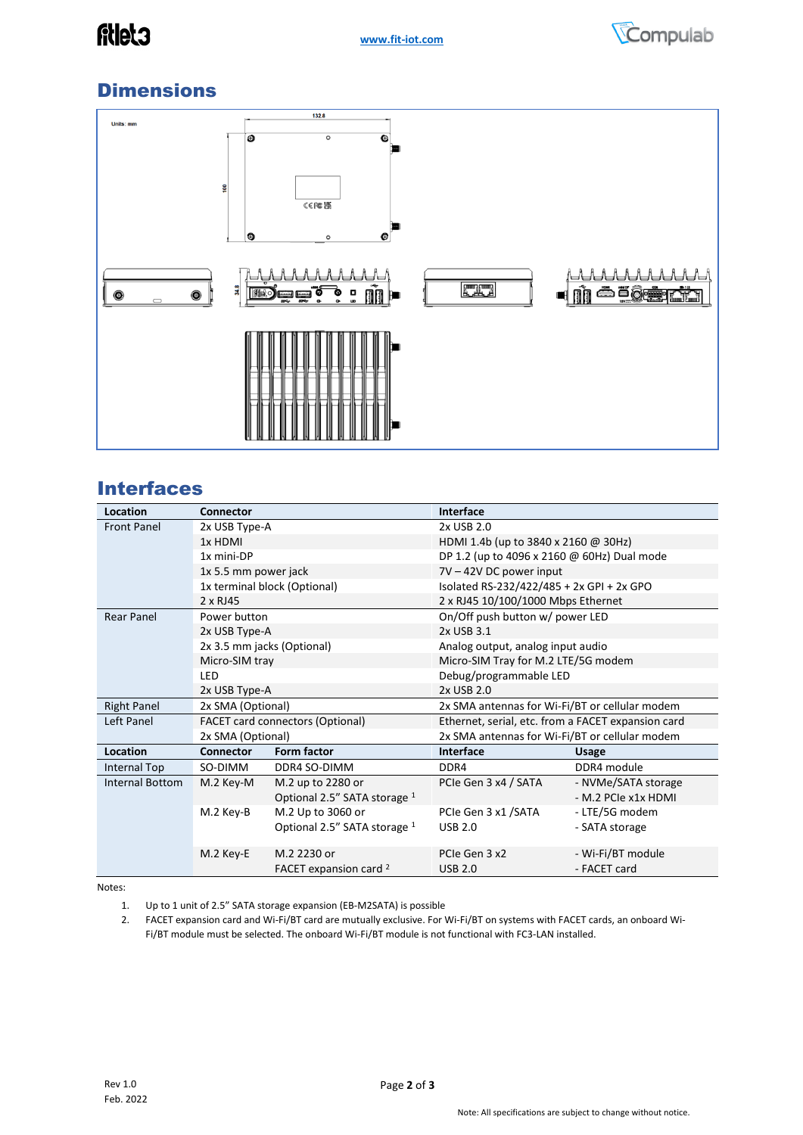

# **Dimensions**



#### **Interfaces**

| Location           | Connector                        |                                   | Interface                                          |                     |
|--------------------|----------------------------------|-----------------------------------|----------------------------------------------------|---------------------|
| <b>Front Panel</b> | 2x USB Type-A                    |                                   | 2x USB 2.0                                         |                     |
|                    | 1x HDMI                          |                                   | HDMI 1.4b (up to 3840 x 2160 @ 30Hz)               |                     |
|                    | 1x mini-DP                       |                                   | DP 1.2 (up to 4096 x 2160 @ 60Hz) Dual mode        |                     |
|                    | 1x 5.5 mm power jack             |                                   | 7V - 42V DC power input                            |                     |
|                    | 1x terminal block (Optional)     |                                   | Isolated RS-232/422/485 + 2x GPI + 2x GPO          |                     |
|                    | 2 x RJ45                         |                                   | 2 x RJ45 10/100/1000 Mbps Ethernet                 |                     |
| <b>Rear Panel</b>  | Power button                     |                                   | On/Off push button w/ power LED                    |                     |
|                    | 2x USB Type-A                    |                                   | 2x USB 3.1                                         |                     |
|                    | 2x 3.5 mm jacks (Optional)       |                                   | Analog output, analog input audio                  |                     |
|                    | Micro-SIM tray                   |                                   | Micro-SIM Tray for M.2 LTE/5G modem                |                     |
|                    | LED                              |                                   | Debug/programmable LED                             |                     |
|                    | 2x USB Type-A                    |                                   | 2x USB 2.0                                         |                     |
| <b>Right Panel</b> | 2x SMA (Optional)                |                                   | 2x SMA antennas for Wi-Fi/BT or cellular modem     |                     |
| Left Panel         | FACET card connectors (Optional) |                                   | Ethernet, serial, etc. from a FACET expansion card |                     |
|                    | 2x SMA (Optional)                |                                   | 2x SMA antennas for Wi-Fi/BT or cellular modem     |                     |
| Location           | Connector                        | Form factor                       | Interface                                          | <b>Usage</b>        |
| Internal Top       | SO-DIMM                          | DDR4 SO-DIMM                      | DDR4                                               | DDR4 module         |
| Internal Bottom    | M.2 Key-M                        | M.2 up to 2280 or                 | PCIe Gen 3 x4 / SATA                               | - NVMe/SATA storage |
|                    |                                  | Optional 2.5" SATA storage 1      |                                                    | - M.2 PCIe x1x HDMI |
|                    | M.2 Key-B                        | M.2 Up to 3060 or                 | PCIe Gen 3 x1 / SATA                               | - LTE/5G modem      |
|                    |                                  | Optional 2.5" SATA storage 1      | <b>USB 2.0</b>                                     | - SATA storage      |
|                    |                                  |                                   |                                                    |                     |
|                    | M.2 Key-E                        | M.2 2230 or                       | PCIe Gen 3 x2                                      | - Wi-Fi/BT module   |
|                    |                                  | FACET expansion card <sup>2</sup> | <b>USB 2.0</b>                                     | - FACET card        |

Notes:

1. Up to 1 unit of 2.5" SATA storage expansion (EB-M2SATA) is possible

2. FACET expansion card and Wi-Fi/BT card are mutually exclusive. For Wi-Fi/BT on systems with FACET cards, an onboard Wi-Fi/BT module must be selected. The onboard Wi-Fi/BT module is not functional with FC3-LAN installed.